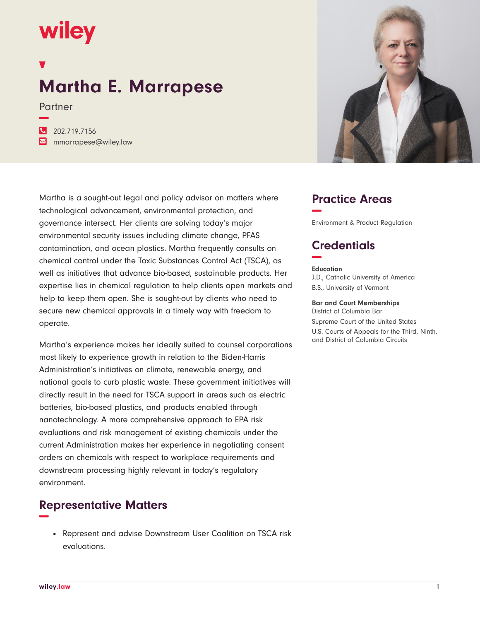# wiley

**−**

## **Martha E. Marrapese**

Partner

**�** 202.719.7156 **�** mmarrapese@wiley.law

Martha is a sought-out legal and policy advisor on matters where technological advancement, environmental protection, and governance intersect. Her clients are solving today's major environmental security issues including climate change, PFAS contamination, and ocean plastics. Martha frequently consults on chemical control under the Toxic Substances Control Act (TSCA), as well as initiatives that advance bio-based, sustainable products. Her expertise lies in chemical regulation to help clients open markets and help to keep them open. She is sought-out by clients who need to secure new chemical approvals in a timely way with freedom to operate.

Martha's experience makes her ideally suited to counsel corporations most likely to experience growth in relation to the Biden-Harris Administration's initiatives on climate, renewable energy, and national goals to curb plastic waste. These government initiatives will directly result in the need for TSCA support in areas such as electric batteries, bio-based plastics, and products enabled through nanotechnology. A more comprehensive approach to EPA risk evaluations and risk management of existing chemicals under the current Administration makes her experience in negotiating consent orders on chemicals with respect to workplace requirements and downstream processing highly relevant in today's regulatory environment.

## **Representative Matters −**

• Represent and advise Downstream User Coalition on TSCA risk evaluations.



## **Practice Areas −**

Environment & Product Regulation

## **Credentials −**

#### **Education**

J.D., Catholic University of America B.S., University of Vermont

#### **Bar and Court Memberships**

District of Columbia Bar Supreme Court of the United States U.S. Courts of Appeals for the Third, Ninth, and District of Columbia Circuits